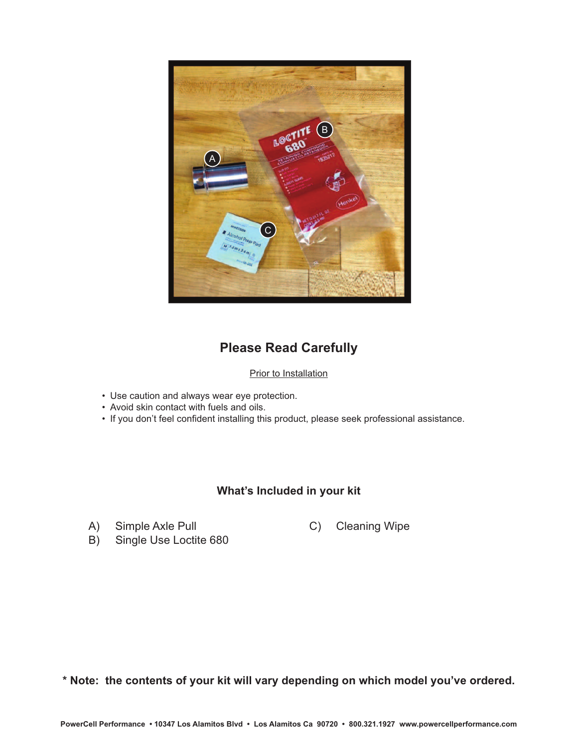

## **Please Read Carefully**

### **Prior to Installation**

- Use caution and always wear eye protection.
- Avoid skin contact with fuels and oils.
- If you don't feel confident installing this product, please seek professional assistance.

### **What's Included in your kit**

A) Simple Axle Pull

C) Cleaning Wipe

B) Single Use Loctite 680

**\* Note: the contents of your kit will vary depending on which model you've ordered.**